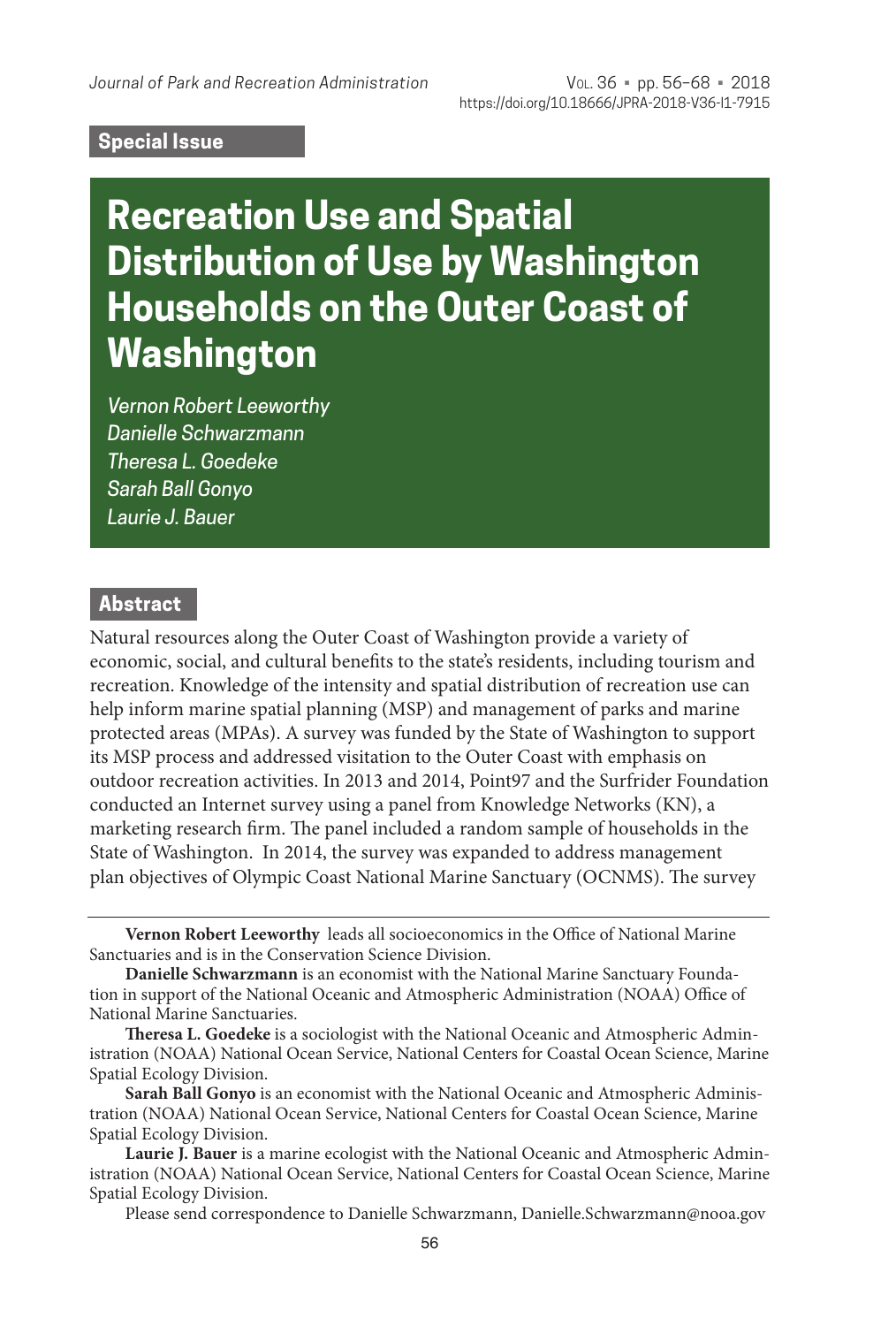#### **Special Issue**

# **Recreation Use and Spatial Distribution of Use by Washington Households on the Outer Coast of Washington**

*Vernon Robert Leeworthy Danielle Schwarzmann Theresa L. Goedeke Sarah Ball Gonyo Laurie J. Bauer*

#### **Abstract**

Natural resources along the Outer Coast of Washington provide a variety of economic, social, and cultural benefits to the state's residents, including tourism and recreation. Knowledge of the intensity and spatial distribution of recreation use can help inform marine spatial planning (MSP) and management of parks and marine protected areas (MPAs). A survey was funded by the State of Washington to support its MSP process and addressed visitation to the Outer Coast with emphasis on outdoor recreation activities. In 2013 and 2014, Point97 and the Surfrider Foundation conducted an Internet survey using a panel from Knowledge Networks (KN), a marketing research firm. The panel included a random sample of households in the State of Washington. In 2014, the survey was expanded to address management plan objectives of Olympic Coast National Marine Sanctuary (OCNMS). The survey

**Vernon Robert Leeworthy** leads all socioeconomics in the Office of National Marine Sanctuaries and is in the Conservation Science Division.

**Danielle Schwarzmann** is an economist with the National Marine Sanctuary Foundation in support of the National Oceanic and Atmospheric Administration (NOAA) Office of National Marine Sanctuaries.

**Theresa L. Goedeke** is a sociologist with the National Oceanic and Atmospheric Administration (NOAA) National Ocean Service, National Centers for Coastal Ocean Science, Marine Spatial Ecology Division.

**Sarah Ball Gonyo** is an economist with the National Oceanic and Atmospheric Administration (NOAA) National Ocean Service, National Centers for Coastal Ocean Science, Marine Spatial Ecology Division.

**Laurie J. Bauer** is a marine ecologist with the National Oceanic and Atmospheric Administration (NOAA) National Ocean Service, National Centers for Coastal Ocean Science, Marine Spatial Ecology Division.

Please send correspondence to Danielle Schwarzmann, Danielle.Schwarzmann@nooa.gov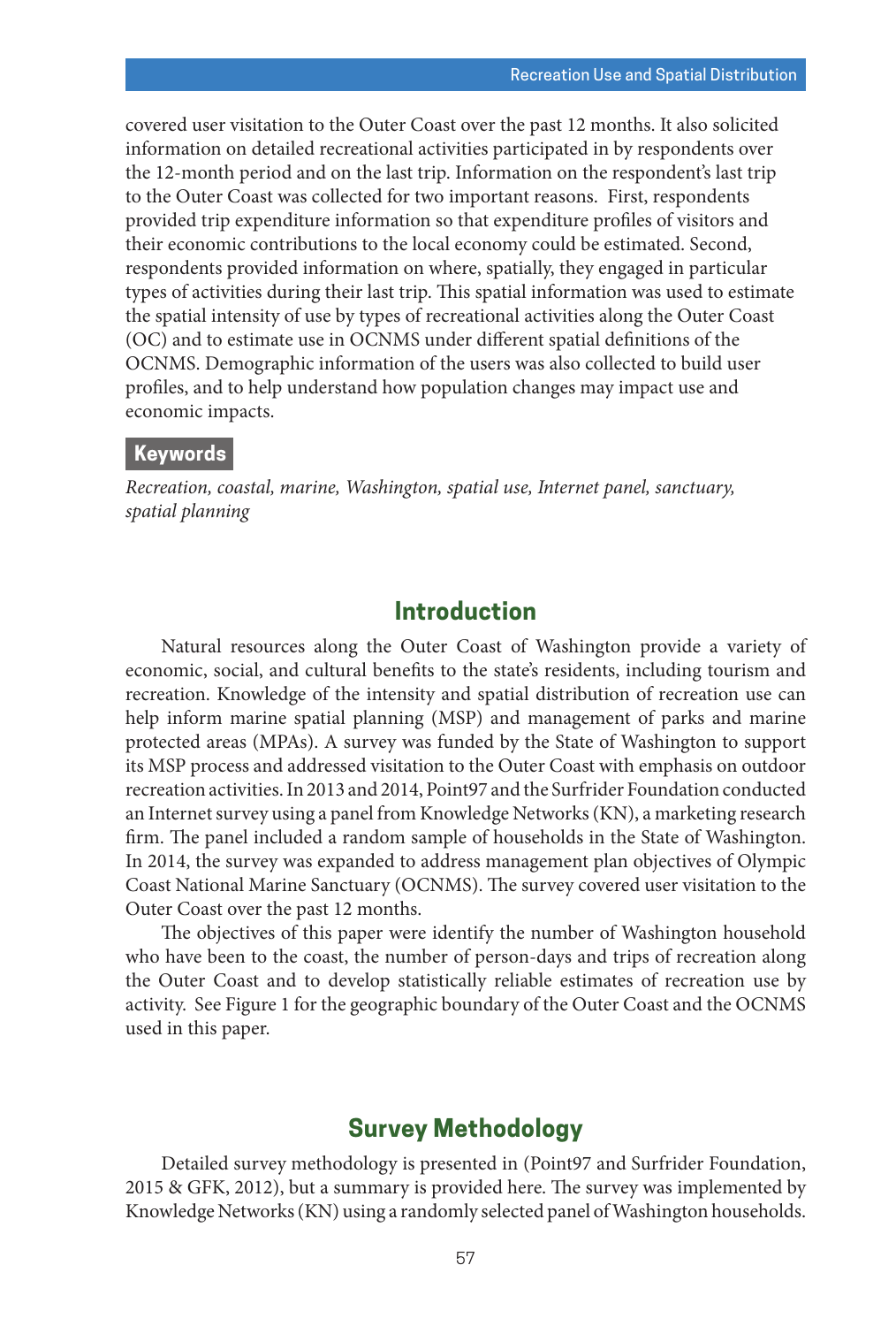covered user visitation to the Outer Coast over the past 12 months. It also solicited information on detailed recreational activities participated in by respondents over the 12-month period and on the last trip. Information on the respondent's last trip to the Outer Coast was collected for two important reasons. First, respondents provided trip expenditure information so that expenditure profiles of visitors and their economic contributions to the local economy could be estimated. Second, respondents provided information on where, spatially, they engaged in particular types of activities during their last trip. This spatial information was used to estimate the spatial intensity of use by types of recreational activities along the Outer Coast (OC) and to estimate use in OCNMS under different spatial definitions of the OCNMS. Demographic information of the users was also collected to build user profiles, and to help understand how population changes may impact use and economic impacts.

#### **Keywords**

*Recreation, coastal, marine, Washington, spatial use, Internet panel, sanctuary, spatial planning*

# **Introduction**

Natural resources along the Outer Coast of Washington provide a variety of economic, social, and cultural benefits to the state's residents, including tourism and recreation. Knowledge of the intensity and spatial distribution of recreation use can help inform marine spatial planning (MSP) and management of parks and marine protected areas (MPAs). A survey was funded by the State of Washington to support its MSP process and addressed visitation to the Outer Coast with emphasis on outdoor recreation activities. In 2013 and 2014, Point97 and the Surfrider Foundation conducted an Internet survey using a panel from Knowledge Networks (KN), a marketing research firm. The panel included a random sample of households in the State of Washington. In 2014, the survey was expanded to address management plan objectives of Olympic Coast National Marine Sanctuary (OCNMS). The survey covered user visitation to the Outer Coast over the past 12 months.

The objectives of this paper were identify the number of Washington household who have been to the coast, the number of person-days and trips of recreation along the Outer Coast and to develop statistically reliable estimates of recreation use by activity. See Figure 1 for the geographic boundary of the Outer Coast and the OCNMS used in this paper.

# **Survey Methodology**

Detailed survey methodology is presented in (Point97 and Surfrider Foundation, 2015 & GFK, 2012), but a summary is provided here. The survey was implemented by Knowledge Networks (KN) using a randomly selected panel of Washington households.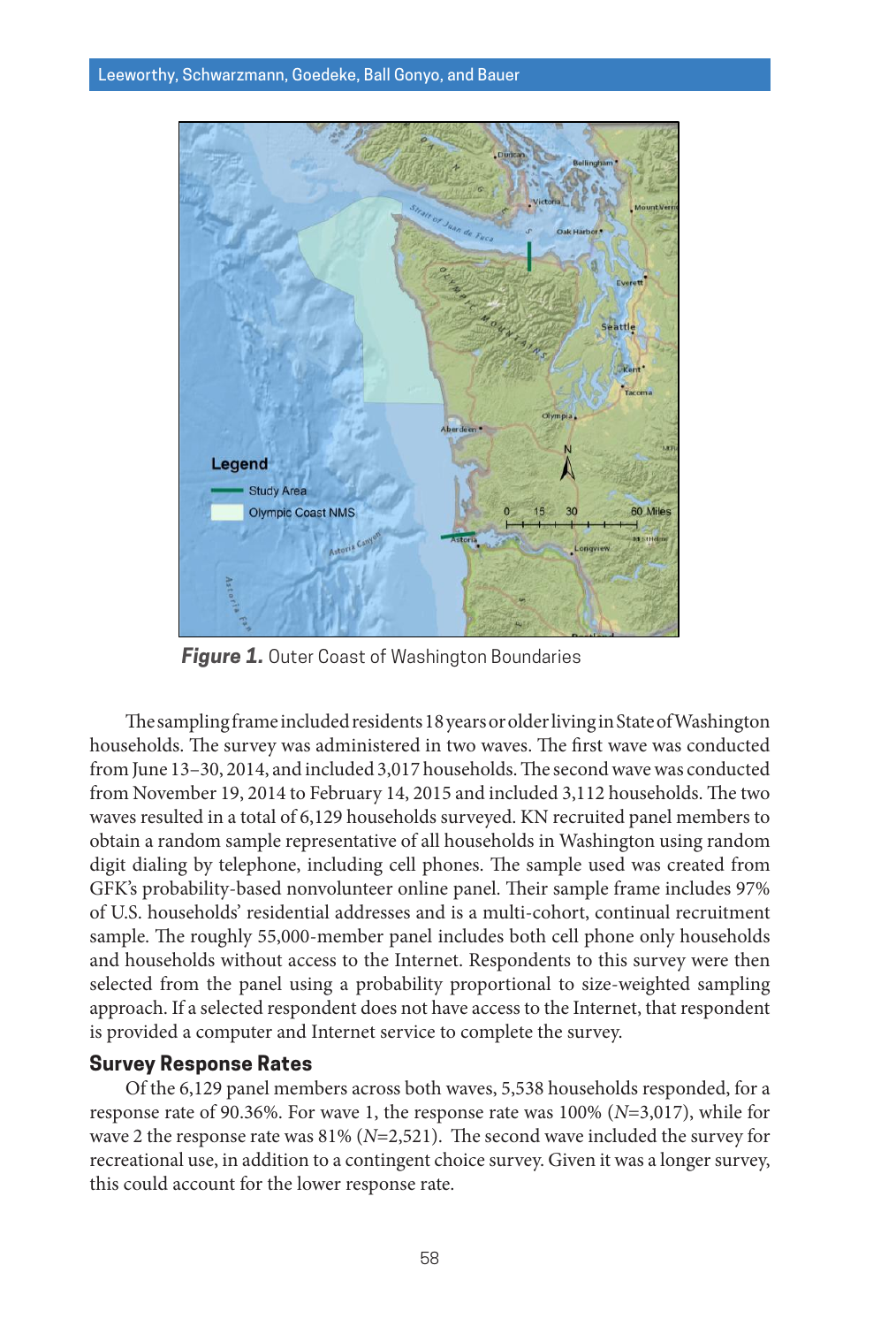

**Figure 1.** Outer Coast of Washington Boundaries

The sampling frame included residents 18 years or older living in State of Washington households. The survey was administered in two waves. The first wave was conducted from June 13–30, 2014, and included 3,017 households. The second wave was conducted from November 19, 2014 to February 14, 2015 and included 3,112 households. The two waves resulted in a total of 6,129 households surveyed. KN recruited panel members to obtain a random sample representative of all households in Washington using random digit dialing by telephone, including cell phones. The sample used was created from GFK's probability-based nonvolunteer online panel. Their sample frame includes 97% of U.S. households' residential addresses and is a multi-cohort, continual recruitment sample. The roughly 55,000-member panel includes both cell phone only households and households without access to the Internet. Respondents to this survey were then selected from the panel using a probability proportional to size-weighted sampling approach. If a selected respondent does not have access to the Internet, that respondent is provided a computer and Internet service to complete the survey.

#### **Survey Response Rates**

Of the 6,129 panel members across both waves, 5,538 households responded, for a response rate of 90.36%. For wave 1, the response rate was 100% (*N*=3,017), while for wave 2 the response rate was 81% (*N*=2,521). The second wave included the survey for recreational use, in addition to a contingent choice survey. Given it was a longer survey, this could account for the lower response rate.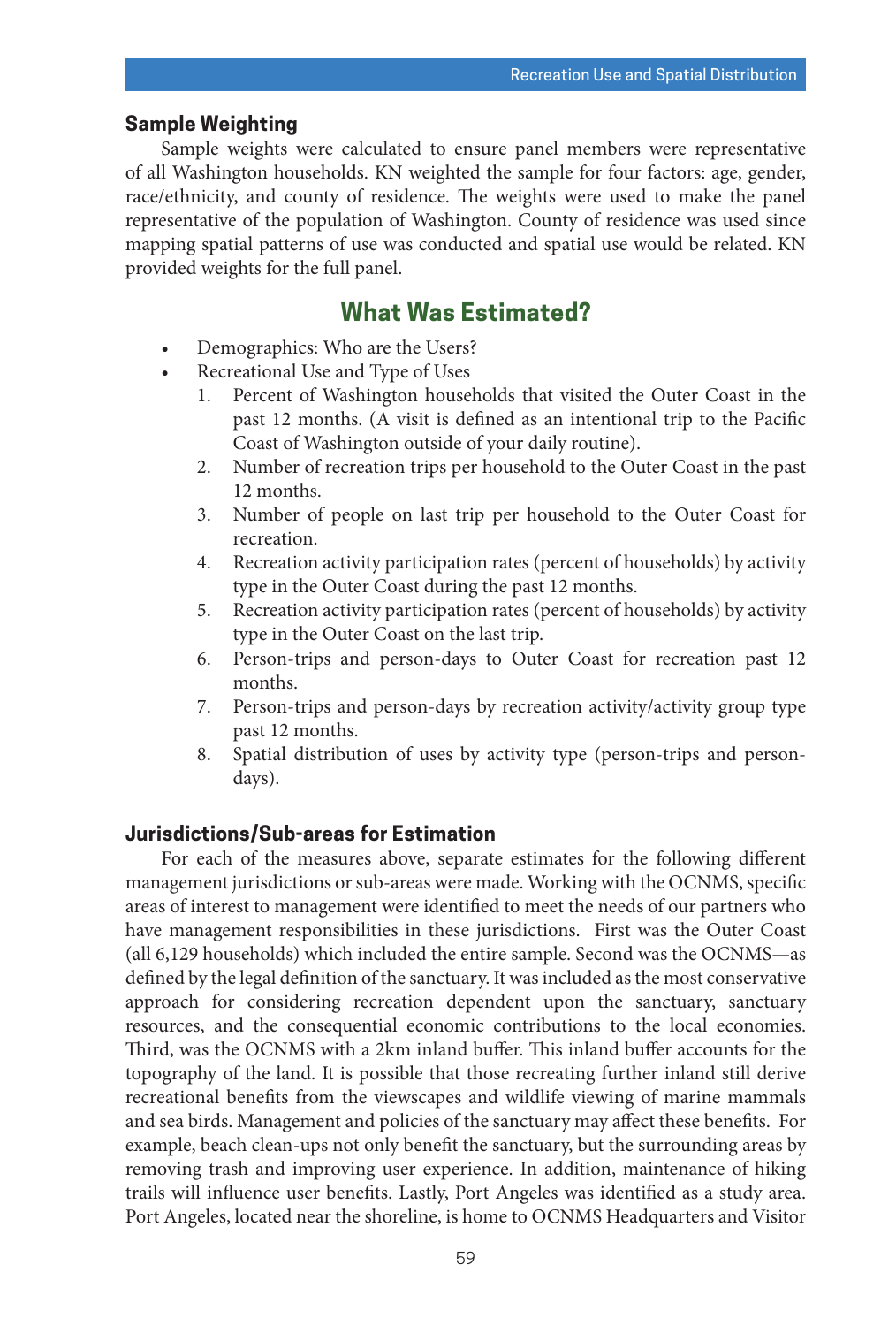#### **Sample Weighting**

Sample weights were calculated to ensure panel members were representative of all Washington households. KN weighted the sample for four factors: age, gender, race/ethnicity, and county of residence. The weights were used to make the panel representative of the population of Washington. County of residence was used since mapping spatial patterns of use was conducted and spatial use would be related. KN provided weights for the full panel.

# **What Was Estimated?**

- Demographics: Who are the Users?
- Recreational Use and Type of Uses
	- 1. Percent of Washington households that visited the Outer Coast in the past 12 months. (A visit is defined as an intentional trip to the Pacific Coast of Washington outside of your daily routine).
	- 2. Number of recreation trips per household to the Outer Coast in the past 12 months.
	- 3. Number of people on last trip per household to the Outer Coast for recreation.
	- 4. Recreation activity participation rates (percent of households) by activity type in the Outer Coast during the past 12 months.
	- 5. Recreation activity participation rates (percent of households) by activity type in the Outer Coast on the last trip.
	- 6. Person-trips and person-days to Outer Coast for recreation past 12 months.
	- 7. Person-trips and person-days by recreation activity/activity group type past 12 months.
	- 8. Spatial distribution of uses by activity type (person-trips and persondays).

#### **Jurisdictions/Sub-areas for Estimation**

For each of the measures above, separate estimates for the following different management jurisdictions or sub-areas were made. Working with the OCNMS, specific areas of interest to management were identified to meet the needs of our partners who have management responsibilities in these jurisdictions. First was the Outer Coast (all 6,129 households) which included the entire sample. Second was the OCNMS—as defined by the legal definition of the sanctuary. It was included as the most conservative approach for considering recreation dependent upon the sanctuary, sanctuary resources, and the consequential economic contributions to the local economies. Third, was the OCNMS with a 2km inland buffer. This inland buffer accounts for the topography of the land. It is possible that those recreating further inland still derive recreational benefits from the viewscapes and wildlife viewing of marine mammals and sea birds. Management and policies of the sanctuary may affect these benefits. For example, beach clean-ups not only benefit the sanctuary, but the surrounding areas by removing trash and improving user experience. In addition, maintenance of hiking trails will influence user benefits. Lastly, Port Angeles was identified as a study area. Port Angeles, located near the shoreline, is home to OCNMS Headquarters and Visitor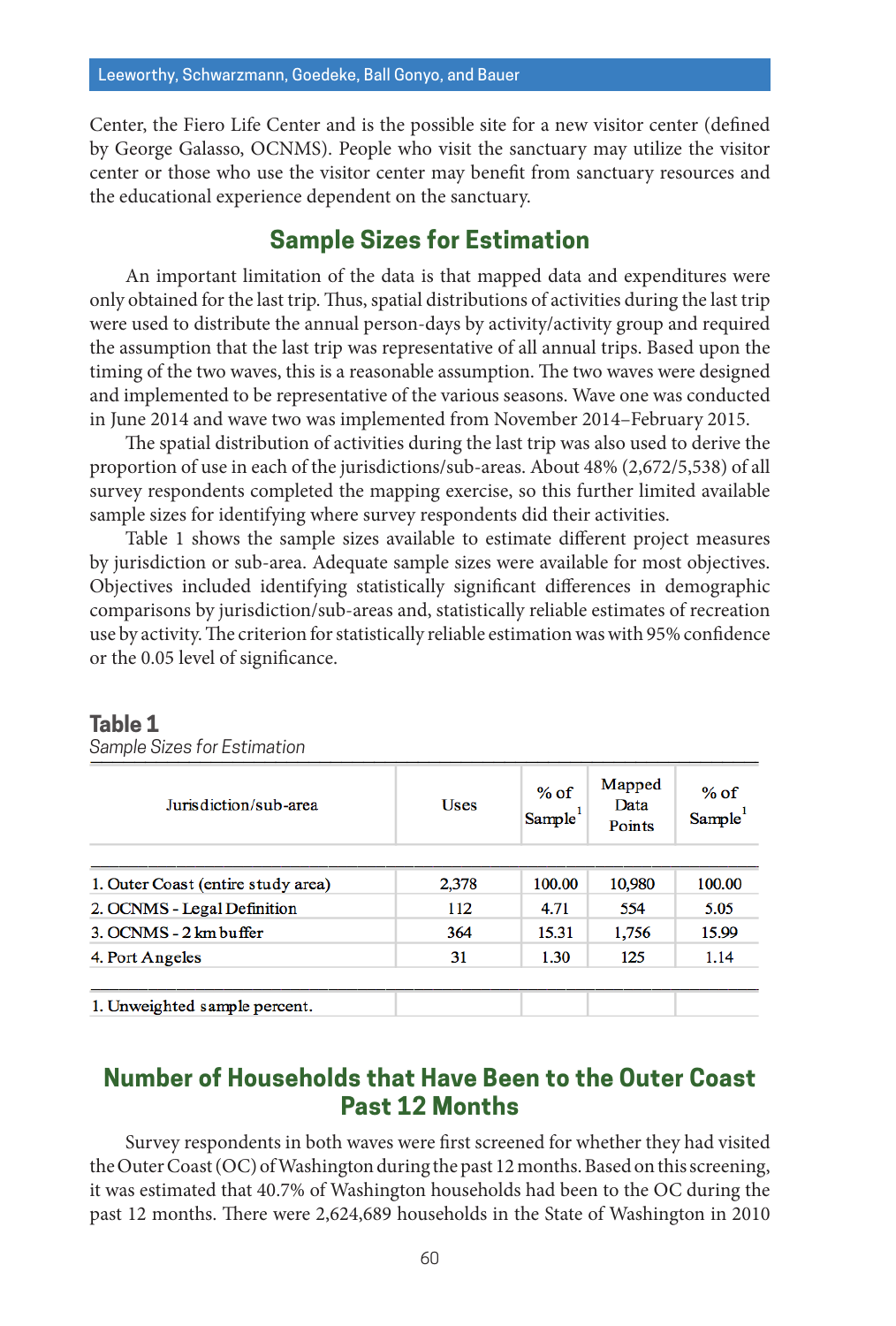Center, the Fiero Life Center and is the possible site for a new visitor center (defined by George Galasso, OCNMS). People who visit the sanctuary may utilize the visitor center or those who use the visitor center may benefit from sanctuary resources and the educational experience dependent on the sanctuary.

## **Sample Sizes for Estimation**

An important limitation of the data is that mapped data and expenditures were only obtained for the last trip. Thus, spatial distributions of activities during the last trip were used to distribute the annual person-days by activity/activity group and required the assumption that the last trip was representative of all annual trips. Based upon the timing of the two waves, this is a reasonable assumption. The two waves were designed and implemented to be representative of the various seasons. Wave one was conducted in June 2014 and wave two was implemented from November 2014–February 2015.

The spatial distribution of activities during the last trip was also used to derive the proportion of use in each of the jurisdictions/sub-areas. About 48% (2,672/5,538) of all survey respondents completed the mapping exercise, so this further limited available sample sizes for identifying where survey respondents did their activities.

Table 1 shows the sample sizes available to estimate different project measures by jurisdiction or sub-area. Adequate sample sizes were available for most objectives. Objectives included identifying statistically significant differences in demographic comparisons by jurisdiction/sub-areas and, statistically reliable estimates of recreation use by activity. The criterion for statistically reliable estimation was with 95% confidence or the 0.05 level of significance.

| Jurisdiction/sub-area              | Uses  | $%$ of<br>Sample | Mapped<br>Data<br>Points | $%$ of<br>Sample <sup>1</sup> |
|------------------------------------|-------|------------------|--------------------------|-------------------------------|
| 1. Outer Coast (entire study area) | 2,378 | 100.00           | 10,980                   | 100.00                        |
| 2. OCNMS - Legal Definition        | 112   | 4.71             | 554                      | 5.05                          |
| 3. OCNMS - 2 km buffer             | 364   | 15.31            | 1,756                    | 15.99                         |
| 4. Port Angeles                    | 31    | 1.30             | 125                      | 1.14                          |

# **Table 1**

*Sample Sizes for Estimation*

# **Number of Households that Have Been to the Outer Coast Past 12 Months**

Survey respondents in both waves were first screened for whether they had visited the Outer Coast (OC) of Washington during the past 12 months. Based on this screening, it was estimated that 40.7% of Washington households had been to the OC during the past 12 months. There were 2,624,689 households in the State of Washington in 2010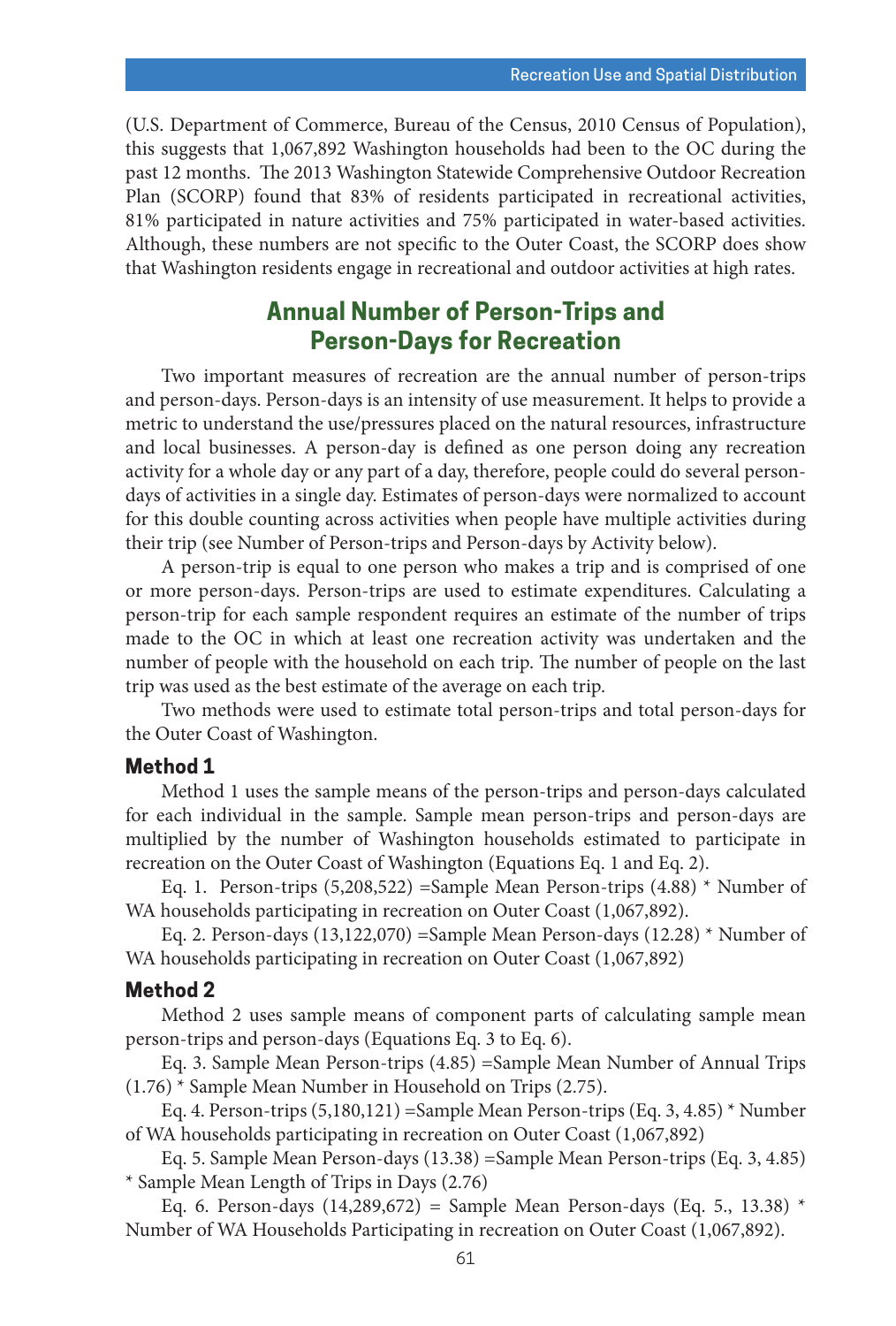(U.S. Department of Commerce, Bureau of the Census, 2010 Census of Population), this suggests that 1,067,892 Washington households had been to the OC during the past 12 months. The 2013 Washington Statewide Comprehensive Outdoor Recreation Plan (SCORP) found that 83% of residents participated in recreational activities, 81% participated in nature activities and 75% participated in water-based activities. Although, these numbers are not specific to the Outer Coast, the SCORP does show that Washington residents engage in recreational and outdoor activities at high rates.

# **Annual Number of Person-Trips and Person-Days for Recreation**

Two important measures of recreation are the annual number of person-trips and person-days. Person-days is an intensity of use measurement. It helps to provide a metric to understand the use/pressures placed on the natural resources, infrastructure and local businesses. A person-day is defined as one person doing any recreation activity for a whole day or any part of a day, therefore, people could do several persondays of activities in a single day. Estimates of person-days were normalized to account for this double counting across activities when people have multiple activities during their trip (see Number of Person-trips and Person-days by Activity below).

A person-trip is equal to one person who makes a trip and is comprised of one or more person-days. Person-trips are used to estimate expenditures. Calculating a person-trip for each sample respondent requires an estimate of the number of trips made to the OC in which at least one recreation activity was undertaken and the number of people with the household on each trip. The number of people on the last trip was used as the best estimate of the average on each trip.

Two methods were used to estimate total person-trips and total person-days for the Outer Coast of Washington.

#### **Method 1**

Method 1 uses the sample means of the person-trips and person-days calculated for each individual in the sample. Sample mean person-trips and person-days are multiplied by the number of Washington households estimated to participate in recreation on the Outer Coast of Washington (Equations Eq. 1 and Eq. 2).

Eq. 1. Person-trips  $(5,208,522)$  =Sample Mean Person-trips  $(4.88)$  \* Number of WA households participating in recreation on Outer Coast (1,067,892).

Eq. 2. Person-days (13,122,070) =Sample Mean Person-days (12.28) \* Number of WA households participating in recreation on Outer Coast (1,067,892)

#### **Method 2**

Method 2 uses sample means of component parts of calculating sample mean person-trips and person-days (Equations Eq. 3 to Eq. 6).

Eq. 3. Sample Mean Person-trips (4.85) =Sample Mean Number of Annual Trips (1.76) \* Sample Mean Number in Household on Trips (2.75).

Eq. 4. Person-trips  $(5,180,121)$  =Sample Mean Person-trips (Eq. 3, 4.85) \* Number of WA households participating in recreation on Outer Coast (1,067,892)

Eq. 5. Sample Mean Person-days (13.38) =Sample Mean Person-trips (Eq. 3, 4.85) \* Sample Mean Length of Trips in Days (2.76)

Eq. 6. Person-days (14,289,672) = Sample Mean Person-days (Eq. 5., 13.38) \* Number of WA Households Participating in recreation on Outer Coast (1,067,892).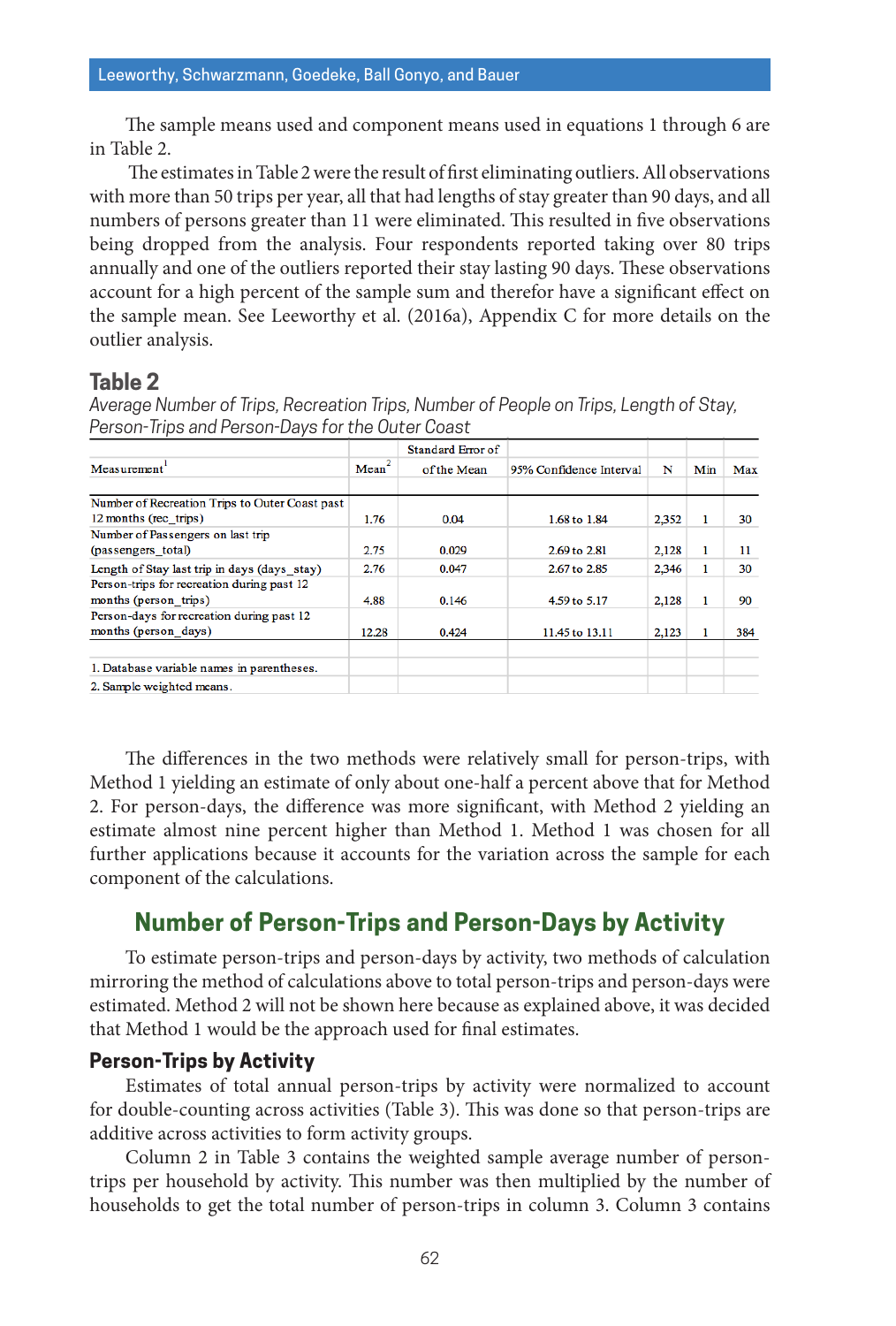The sample means used and component means used in equations 1 through 6 are in Table 2.

 The estimates in Table 2 were the result of first eliminating outliers. All observations with more than 50 trips per year, all that had lengths of stay greater than 90 days, and all numbers of persons greater than 11 were eliminated. This resulted in five observations being dropped from the analysis. Four respondents reported taking over 80 trips annually and one of the outliers reported their stay lasting 90 days. These observations account for a high percent of the sample sum and therefor have a significant effect on the sample mean. See Leeworthy et al. (2016a), Appendix C for more details on the outlier analysis.

#### **Table 2**

*Average Number of Trips, Recreation Trips, Number of People on Trips, Length of Stay, Person-Trips and Person-Days for the Outer Coast*

|                                                                     |                   | <b>Standard Error of</b> |                         |       |     |     |
|---------------------------------------------------------------------|-------------------|--------------------------|-------------------------|-------|-----|-----|
| Measurement <sup>1</sup>                                            | Mean <sup>2</sup> | of the Mean              | 95% Confidence Interval | N     | Min | Max |
| Number of Recreation Trips to Outer Coast past                      |                   |                          |                         |       |     |     |
| 12 months (rec trips)                                               | 1.76              | 0.04                     | 1.68 to 1.84            | 2.352 |     | 30  |
| Number of Passengers on last trip<br>(passengers total)             | 2.75              | 0.029                    | 2.69 to 2.81            | 2,128 |     | 11  |
| Length of Stay last trip in days (days stay)                        | 2.76              | 0.047                    | 2.67 to 2.85            | 2.346 |     | 30  |
| Person-trips for recreation during past 12<br>months (person trips) | 4.88              | 0.146                    | 4.59 to 5.17            | 2.128 |     | 90  |
| Person-days for recreation during past 12                           |                   |                          |                         |       |     |     |
| months (person days)                                                | 12.28             | 0.424                    | 11.45 to 13.11          | 2,123 |     | 384 |
| 1. Database variable names in parentheses.                          |                   |                          |                         |       |     |     |
| 2. Sample weighted means.                                           |                   |                          |                         |       |     |     |

The differences in the two methods were relatively small for person-trips, with Method 1 yielding an estimate of only about one-half a percent above that for Method 2. For person-days, the difference was more significant, with Method 2 yielding an estimate almost nine percent higher than Method 1. Method 1 was chosen for all further applications because it accounts for the variation across the sample for each component of the calculations.

## **Number of Person-Trips and Person-Days by Activity**

To estimate person-trips and person-days by activity, two methods of calculation mirroring the method of calculations above to total person-trips and person-days were estimated. Method 2 will not be shown here because as explained above, it was decided that Method 1 would be the approach used for final estimates.

#### **Person-Trips by Activity**

Estimates of total annual person-trips by activity were normalized to account for double-counting across activities (Table 3). This was done so that person-trips are additive across activities to form activity groups.

Column 2 in Table 3 contains the weighted sample average number of persontrips per household by activity. This number was then multiplied by the number of households to get the total number of person-trips in column 3. Column 3 contains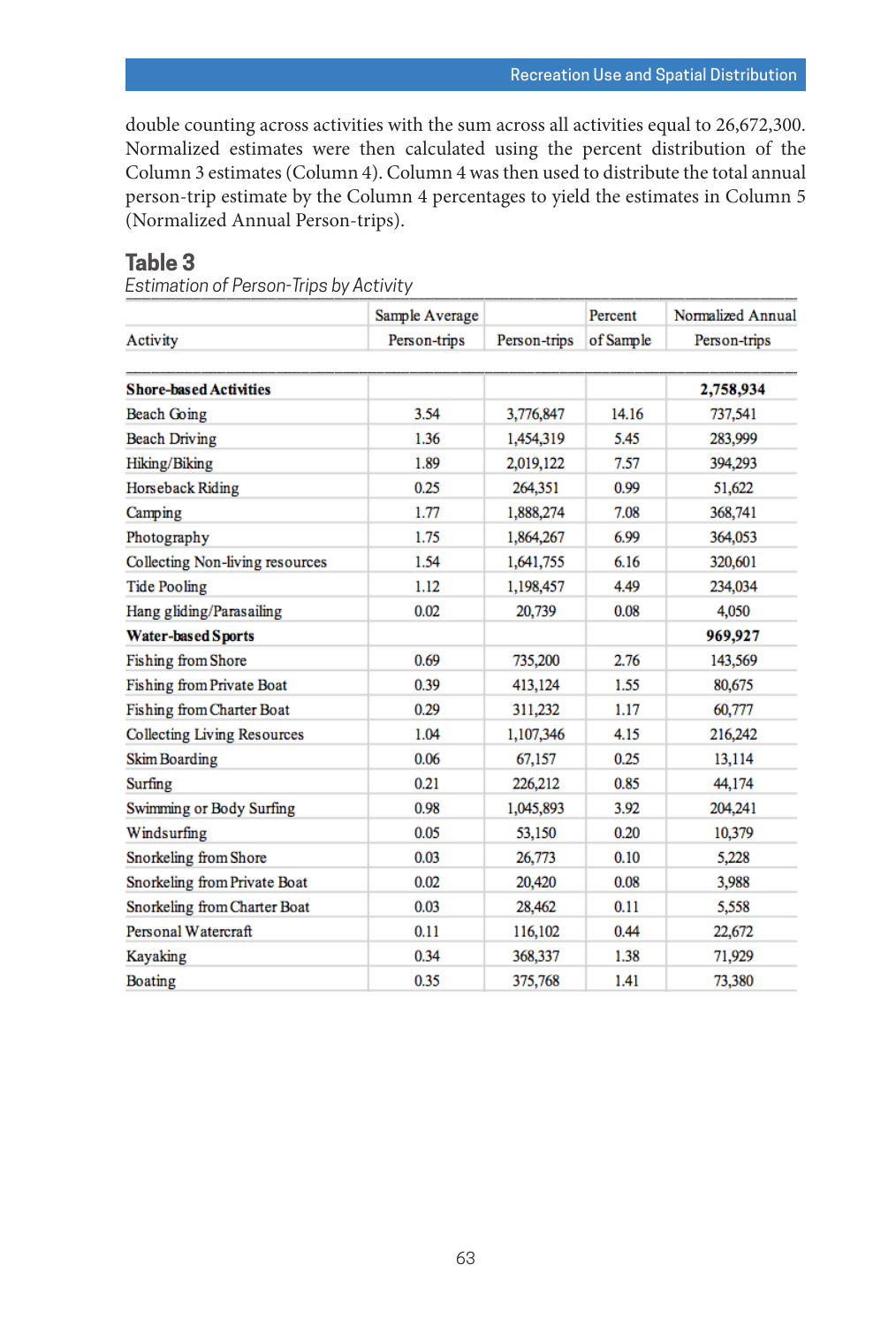double counting across activities with the sum across all activities equal to 26,672,300. Normalized estimates were then calculated using the percent distribution of the Column 3 estimates (Column 4). Column 4 was then used to distribute the total annual person-trip estimate by the Column 4 percentages to yield the estimates in Column 5 (Normalized Annual Person-trips).

## **Table 3**

*Estimation of Person-Trips by Activity*

|                                    | Sample Average |              | Percent   | Normalized Annual |
|------------------------------------|----------------|--------------|-----------|-------------------|
| Activity                           | Person-trips   | Person-trips | of Sample | Person-trips      |
|                                    |                |              |           |                   |
| <b>Shore-based Activities</b>      |                |              |           | 2,758,934         |
| <b>Beach Going</b>                 | 3.54           | 3,776,847    | 14.16     | 737,541           |
| <b>Beach Driving</b>               | 1.36           | 1,454,319    | 5.45      | 283,999           |
| Hiking/Biking                      | 1.89           | 2,019,122    | 7.57      | 394,293           |
| Horseback Riding                   | 0.25           | 264,351      | 0.99      | 51,622            |
| Camping                            | 1.77           | 1,888,274    | 7.08      | 368,741           |
| Photography                        | 1.75           | 1,864,267    | 6.99      | 364,053           |
| Collecting Non-living resources    | 1.54           | 1,641,755    | 6.16      | 320,601           |
| <b>Tide Pooling</b>                | 1.12           | 1,198,457    | 4.49      | 234,034           |
| Hang gliding/Parasailing           | 0.02           | 20,739       | 0.08      | 4,050             |
| <b>Water-based Sports</b>          |                |              |           | 969,927           |
| <b>Fishing from Shore</b>          | 0.69           | 735,200      | 2.76      | 143,569           |
| <b>Fishing from Private Boat</b>   | 0.39           | 413,124      | 1.55      | 80,675            |
| Fishing from Charter Boat          | 0.29           | 311.232      | 1.17      | 60,777            |
| <b>Collecting Living Resources</b> | 1.04           | 1,107,346    | 4.15      | 216,242           |
| <b>Skim Boarding</b>               | 0.06           | 67,157       | 0.25      | 13,114            |
| Surfing                            | 0.21           | 226,212      | 0.85      | 44,174            |
| Swimming or Body Surfing           | 0.98           | 1,045,893    | 3.92      | 204,241           |
| Windsurfing                        | 0.05           | 53,150       | 0.20      | 10,379            |
| Snorkeling from Shore              | 0.03           | 26,773       | 0.10      | 5,228             |
| Snorkeling from Private Boat       | 0.02           | 20,420       | 0.08      | 3,988             |
| Snorkeling from Charter Boat       | 0.03           | 28,462       | 0.11      | 5,558             |
| Personal Watercraft                | 0.11           | 116,102      | 0.44      | 22,672            |
| Kayaking                           | 0.34           | 368,337      | 1.38      | 71,929            |
| Boating                            | 0.35           | 375,768      | 1.41      | 73,380            |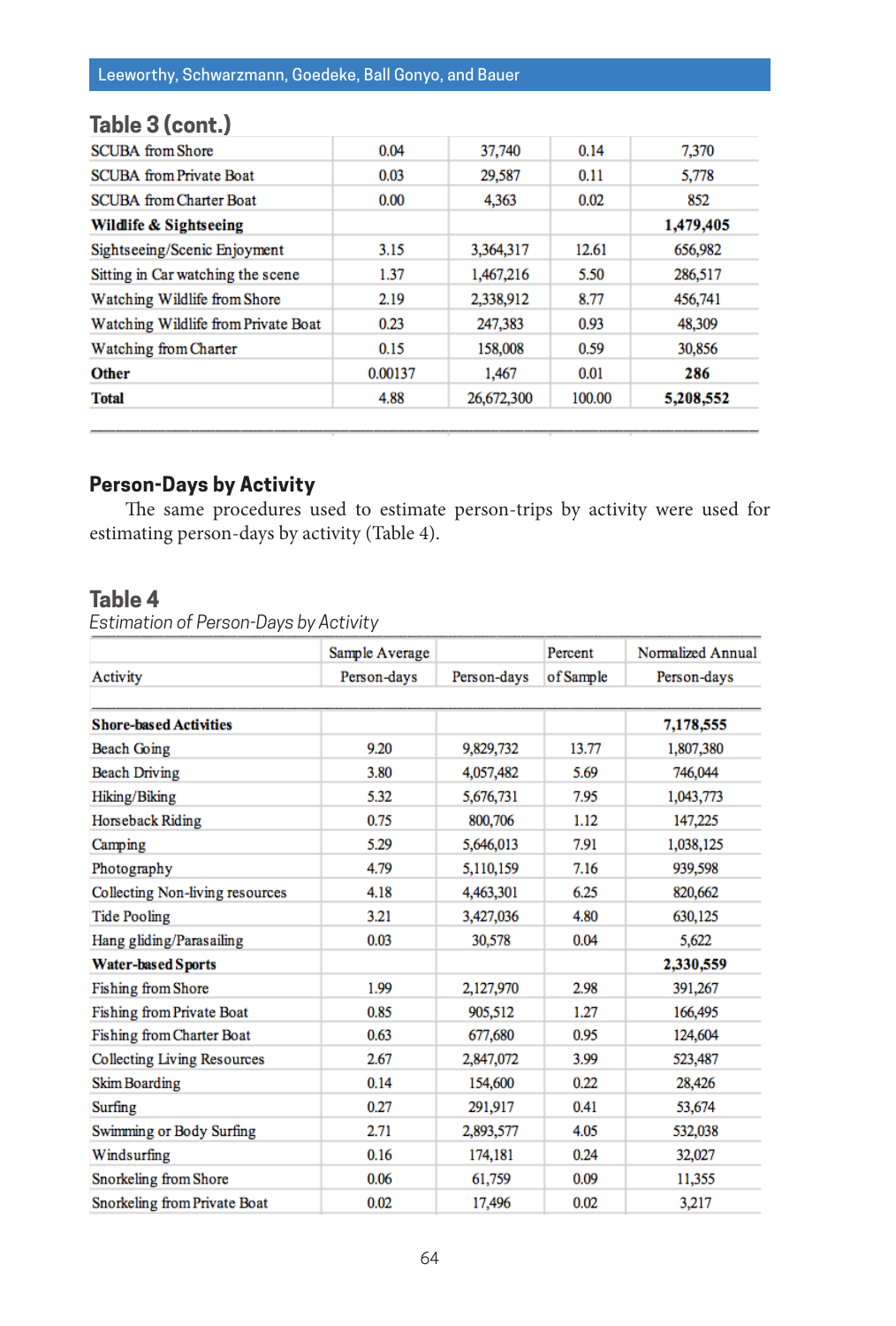# **Table 3 (cont.)**

| <b>SCUBA</b> from Shore             | 0.04    | 37,740     | 0.14   | 7,370     |
|-------------------------------------|---------|------------|--------|-----------|
| <b>SCUBA</b> from Private Boat      | 0.03    | 29,587     | 0.11   | 5,778     |
| <b>SCUBA</b> from Charter Boat      | 0.00    | 4,363      | 0.02   | 852       |
| Wildlife & Sightseeing              |         |            |        | 1,479,405 |
| Sightseeing/Scenic Enjoyment        | 3.15    | 3,364,317  | 12.61  | 656,982   |
| Sitting in Car watching the scene   | 1.37    | 1,467,216  | 5.50   | 286,517   |
| Watching Wildlife from Shore        | 2.19    | 2.338,912  | 8.77   | 456,741   |
| Watching Wildlife from Private Boat | 0.23    | 247,383    | 0.93   | 48,309    |
| Watching from Charter               | 0.15    | 158,008    | 0.59   | 30,856    |
| <b>Other</b>                        | 0.00137 | 1,467      | 0.01   | 286       |
| <b>Total</b>                        | 4.88    | 26,672,300 | 100.00 | 5,208,552 |

## **Person-Days by Activity**

The same procedures used to estimate person-trips by activity were used for estimating person-days by activity (Table 4).

#### **Table 4**

*Estimation of Person-Days by Activity*

|                                    | Sample Average |             | Percent   | Normalized Annual |
|------------------------------------|----------------|-------------|-----------|-------------------|
| Activity                           | Person-days    | Person-days | of Sample | Person-days       |
|                                    |                |             |           |                   |
| <b>Shore-based Activities</b>      |                |             |           | 7,178,555         |
| <b>Beach Going</b>                 | 9.20           | 9,829,732   | 13.77     | 1,807,380         |
| <b>Beach Driving</b>               | 3.80           | 4,057,482   | 5.69      | 746,044           |
| Hiking/Biking                      | 5.32           | 5,676,731   | 7.95      | 1,043,773         |
| Horseback Riding                   | 0.75           | 800,706     | 1.12      | 147,225           |
| Camping                            | 5.29           | 5,646,013   | 7.91      | 1,038,125         |
| Photography                        | 4.79           | 5,110,159   | 7.16      | 939,598           |
| Collecting Non-living resources    | 4.18           | 4,463,301   | 6.25      | 820,662           |
| <b>Tide Pooling</b>                | 3.21           | 3,427,036   | 4.80      | 630,125           |
| Hang gliding/Parasailing           | 0.03           | 30,578      | 0.04      | 5,622             |
| <b>Water-based Sports</b>          |                |             |           | 2,330,559         |
| <b>Fishing from Shore</b>          | 1.99           | 2,127,970   | 2.98      | 391,267           |
| <b>Fishing from Private Boat</b>   | 0.85           | 905,512     | 1.27      | 166,495           |
| <b>Fishing from Charter Boat</b>   | 0.63           | 677,680     | 0.95      | 124,604           |
| <b>Collecting Living Resources</b> | 2.67           | 2,847,072   | 3.99      | 523,487           |
| <b>Skim Boarding</b>               | 0.14           | 154,600     | 0.22      | 28,426            |
| Surfing                            | 0.27           | 291,917     | 0.41      | 53,674            |
| Swimming or Body Surfing           | 2.71           | 2,893,577   | 4.05      | 532,038           |
| Windsurfing                        | 0.16           | 174,181     | 0.24      | 32,027            |
| Snorkeling from Shore              | 0.06           | 61,759      | 0.09      | 11,355            |
| Snorkeling from Private Boat       | 0.02           | 17,496      | 0.02      | 3,217             |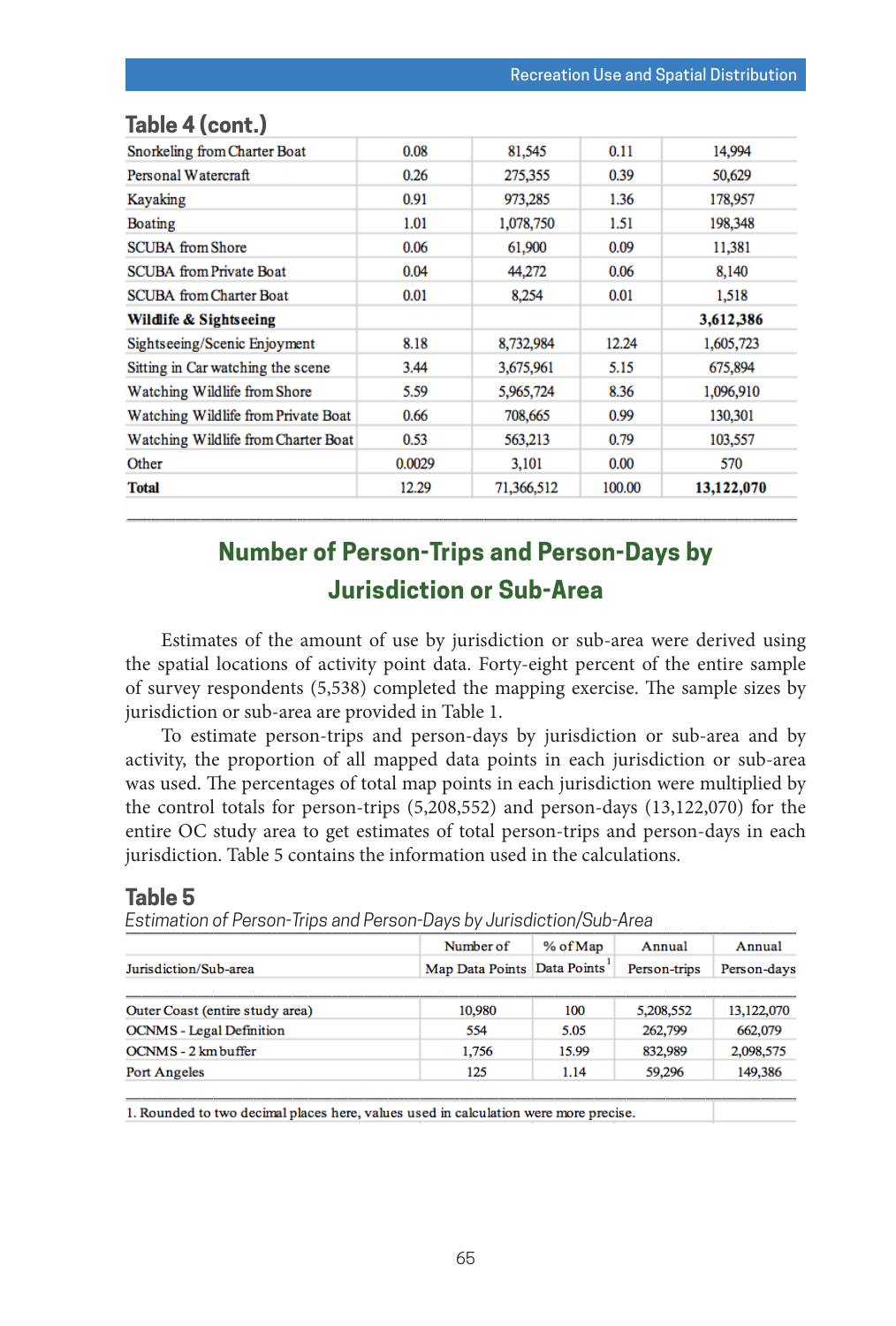| Snorkeling from Charter Boat        | 0.08   | 81,545     | 0.11   | 14,994     |
|-------------------------------------|--------|------------|--------|------------|
| Personal Watercraft                 | 0.26   | 275,355    | 0.39   | 50,629     |
| Kayaking                            | 0.91   | 973,285    | 1.36   | 178,957    |
| <b>Boating</b>                      | 1.01   | 1,078,750  | 1.51   | 198,348    |
| <b>SCUBA</b> from Shore             | 0.06   | 61,900     | 0.09   | 11,381     |
| <b>SCUBA</b> from Private Boat      | 0.04   | 44,272     | 0.06   | 8,140      |
| <b>SCUBA</b> from Charter Boat      | 0.01   | 8,254      | 0.01   | 1,518      |
| Wildlife & Sightseeing              |        |            |        | 3,612,386  |
| Sightseeing/Scenic Enjoyment        | 8.18   | 8,732,984  | 12.24  | 1,605,723  |
| Sitting in Car watching the scene   | 3.44   | 3,675,961  | 5.15   | 675,894    |
| Watching Wildlife from Shore        | 5.59   | 5,965,724  | 8.36   | 1,096,910  |
| Watching Wildlife from Private Boat | 0.66   | 708,665    | 0.99   | 130,301    |
| Watching Wildlife from Charter Boat | 0.53   | 563,213    | 0.79   | 103,557    |
| Other                               | 0.0029 | 3,101      | 0.00   | 570        |
| <b>Total</b>                        | 12.29  | 71,366,512 | 100.00 | 13,122,070 |

# **Table 4 (cont.)**

# **Number of Person-Trips and Person-Days by Jurisdiction or Sub-Area**

Estimates of the amount of use by jurisdiction or sub-area were derived using the spatial locations of activity point data. Forty-eight percent of the entire sample of survey respondents (5,538) completed the mapping exercise. The sample sizes by jurisdiction or sub-area are provided in Table 1.

To estimate person-trips and person-days by jurisdiction or sub-area and by activity, the proportion of all mapped data points in each jurisdiction or sub-area was used. The percentages of total map points in each jurisdiction were multiplied by the control totals for person-trips (5,208,552) and person-days (13,122,070) for the entire OC study area to get estimates of total person-trips and person-days in each jurisdiction. Table 5 contains the information used in the calculations.

#### **Table 5**

*Estimation of Person-Trips and Person-Days by Jurisdiction/Sub-Area*

|                                 | Number of                     | % of Map | Annual       | Annual      |  |
|---------------------------------|-------------------------------|----------|--------------|-------------|--|
| Jurisdiction/Sub-area           | Map Data Points   Data Points |          | Person-trips | Person-days |  |
|                                 |                               |          |              |             |  |
| Outer Coast (entire study area) | 10,980                        | 100      | 5,208,552    | 13,122,070  |  |
| <b>OCNMS</b> - Legal Definition | 554                           | 5.05     | 262,799      | 662,079     |  |
| OCNMS - 2 km buffer             | 1,756                         | 15.99    | 832,989      | 2,098,575   |  |
| <b>Port Angeles</b>             | 125                           | 1.14     | 59,296       | 149,386     |  |

1. Rounded to two decimal places here, values used in calculation were more precise.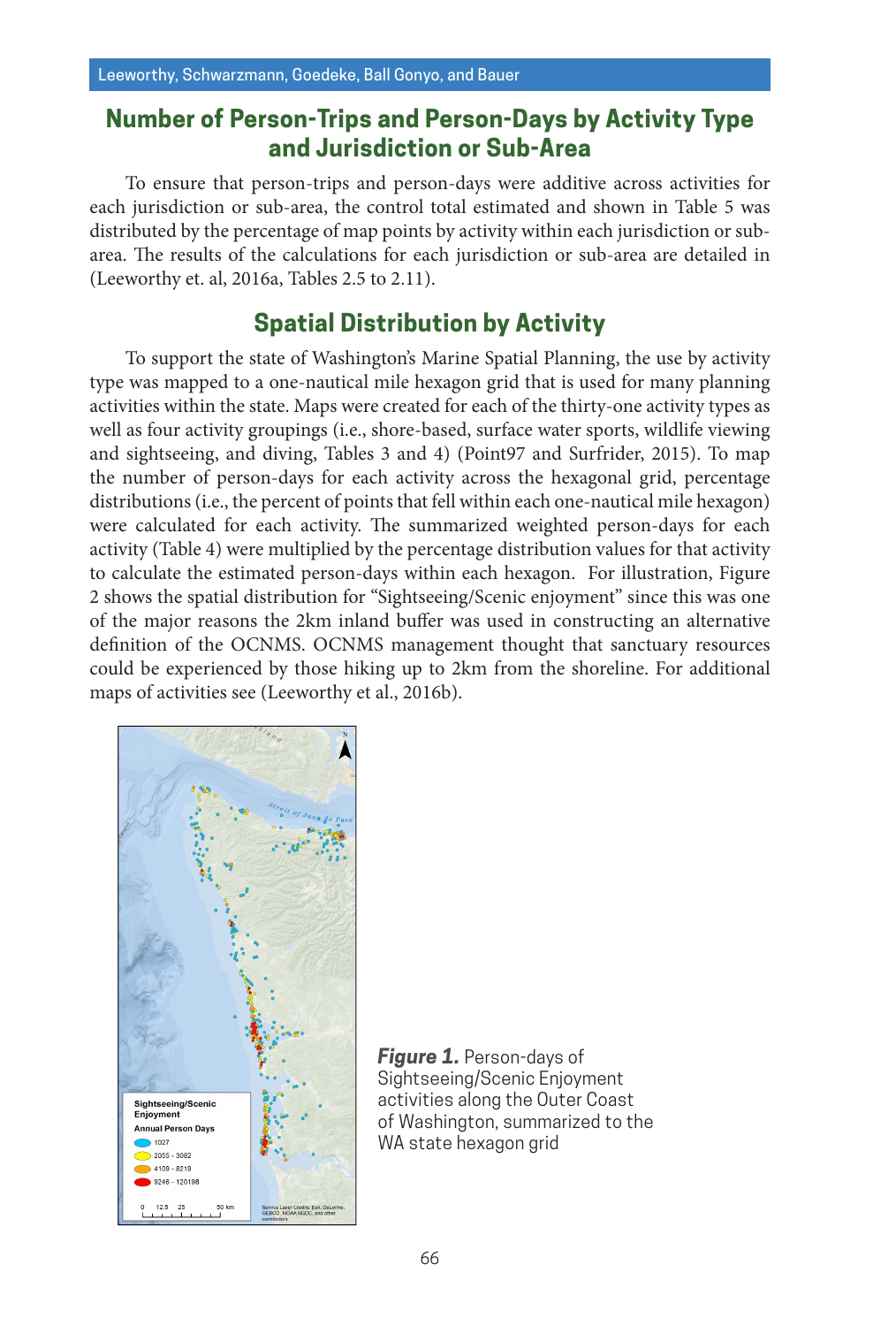# **Number of Person-Trips and Person-Days by Activity Type and Jurisdiction or Sub-Area**

To ensure that person-trips and person-days were additive across activities for each jurisdiction or sub-area, the control total estimated and shown in Table 5 was distributed by the percentage of map points by activity within each jurisdiction or subarea. The results of the calculations for each jurisdiction or sub-area are detailed in (Leeworthy et. al, 2016a, Tables 2.5 to 2.11).

# **Spatial Distribution by Activity**

To support the state of Washington's Marine Spatial Planning, the use by activity type was mapped to a one-nautical mile hexagon grid that is used for many planning activities within the state. Maps were created for each of the thirty-one activity types as well as four activity groupings (i.e., shore-based, surface water sports, wildlife viewing and sightseeing, and diving, Tables 3 and 4) (Point97 and Surfrider, 2015). To map the number of person-days for each activity across the hexagonal grid, percentage distributions (i.e., the percent of points that fell within each one-nautical mile hexagon) were calculated for each activity. The summarized weighted person-days for each activity (Table 4) were multiplied by the percentage distribution values for that activity to calculate the estimated person-days within each hexagon. For illustration, Figure 2 shows the spatial distribution for "Sightseeing/Scenic enjoyment" since this was one of the major reasons the 2km inland buffer was used in constructing an alternative definition of the OCNMS. OCNMS management thought that sanctuary resources could be experienced by those hiking up to 2km from the shoreline. For additional maps of activities see (Leeworthy et al., 2016b).



*Figure 1.* Person-days of Sightseeing/Scenic Enjoyment activities along the Outer Coast of Washington, summarized to the WA state hexagon grid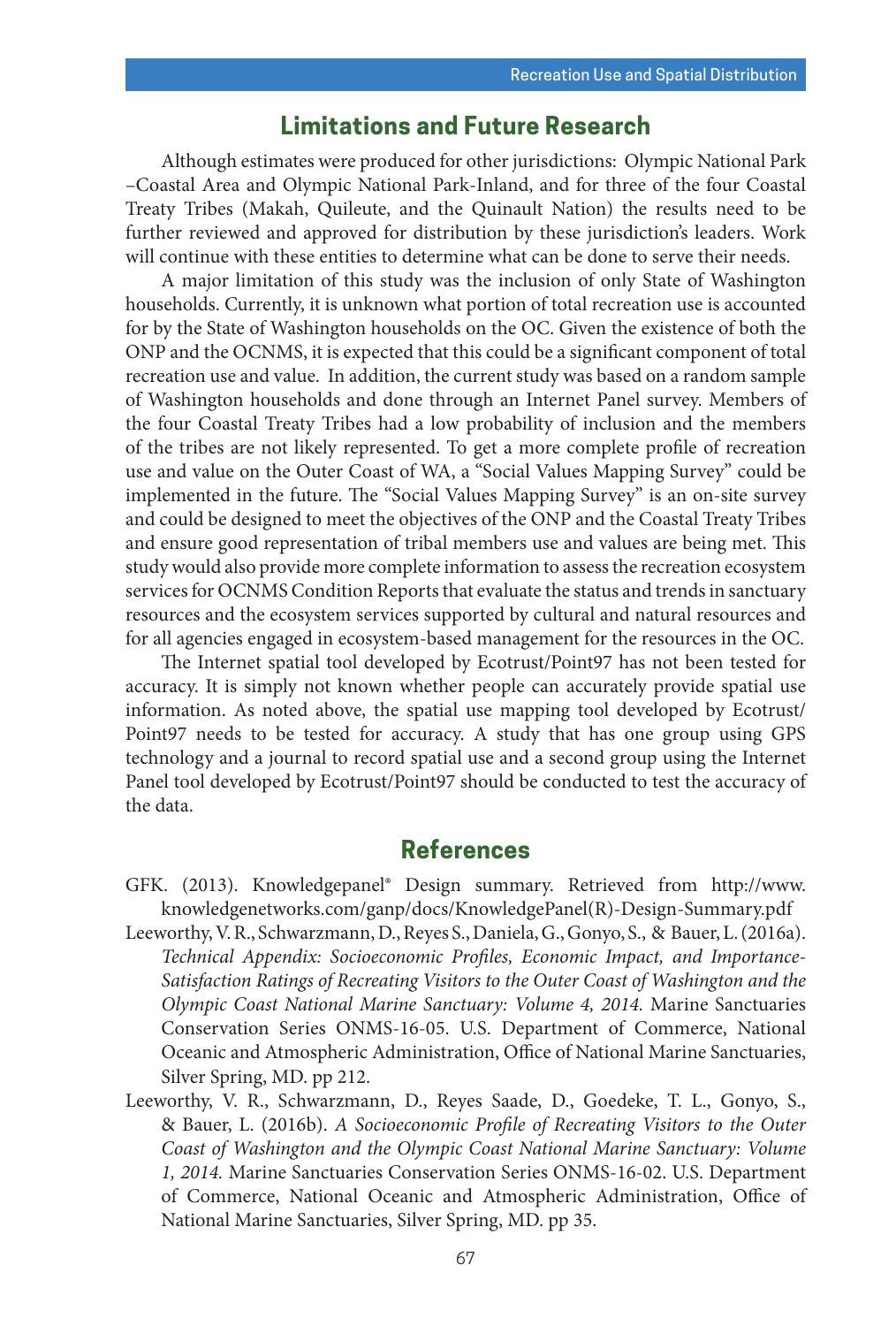# **Limitations and Future Research**

Although estimates were produced for other jurisdictions: Olympic National Park –Coastal Area and Olympic National Park-Inland, and for three of the four Coastal Treaty Tribes (Makah, Quileute, and the Quinault Nation) the results need to be further reviewed and approved for distribution by these jurisdiction's leaders. Work will continue with these entities to determine what can be done to serve their needs.

A major limitation of this study was the inclusion of only State of Washington households. Currently, it is unknown what portion of total recreation use is accounted for by the State of Washington households on the OC. Given the existence of both the ONP and the OCNMS, it is expected that this could be a significant component of total recreation use and value. In addition, the current study was based on a random sample of Washington households and done through an Internet Panel survey. Members of the four Coastal Treaty Tribes had a low probability of inclusion and the members of the tribes are not likely represented. To get a more complete profile of recreation use and value on the Outer Coast of WA, a "Social Values Mapping Survey" could be implemented in the future. The "Social Values Mapping Survey" is an on-site survey and could be designed to meet the objectives of the ONP and the Coastal Treaty Tribes and ensure good representation of tribal members use and values are being met. This study would also provide more complete information to assess the recreation ecosystem services for OCNMS Condition Reports that evaluate the status and trends in sanctuary resources and the ecosystem services supported by cultural and natural resources and for all agencies engaged in ecosystem-based management for the resources in the OC.

The Internet spatial tool developed by Ecotrust/Point97 has not been tested for accuracy. It is simply not known whether people can accurately provide spatial use information. As noted above, the spatial use mapping tool developed by Ecotrust/ Point97 needs to be tested for accuracy. A study that has one group using GPS technology and a journal to record spatial use and a second group using the Internet Panel tool developed by Ecotrust/Point97 should be conducted to test the accuracy of the data.

## **References**

- GFK. (2013). Knowledgepanel® Design summary. Retrieved from http://www. knowledgenetworks.com/ganp/docs/KnowledgePanel(R)-Design-Summary.pdf
- Leeworthy, V. R., Schwarzmann, D., Reyes S., Daniela, G., Gonyo, S., & Bauer, L. (2016a). *Technical Appendix: Socioeconomic Profiles, Economic Impact, and Importance-Satisfaction Ratings of Recreating Visitors to the Outer Coast of Washington and the Olympic Coast National Marine Sanctuary: Volume 4, 2014.* Marine Sanctuaries Conservation Series ONMS-16-05. U.S. Department of Commerce, National Oceanic and Atmospheric Administration, Office of National Marine Sanctuaries, Silver Spring, MD. pp 212.
- Leeworthy, V. R., Schwarzmann, D., Reyes Saade, D., Goedeke, T. L., Gonyo, S., & Bauer, L. (2016b). *A Socioeconomic Profile of Recreating Visitors to the Outer Coast of Washington and the Olympic Coast National Marine Sanctuary: Volume 1, 2014.* Marine Sanctuaries Conservation Series ONMS-16-02. U.S. Department of Commerce, National Oceanic and Atmospheric Administration, Office of National Marine Sanctuaries, Silver Spring, MD. pp 35.